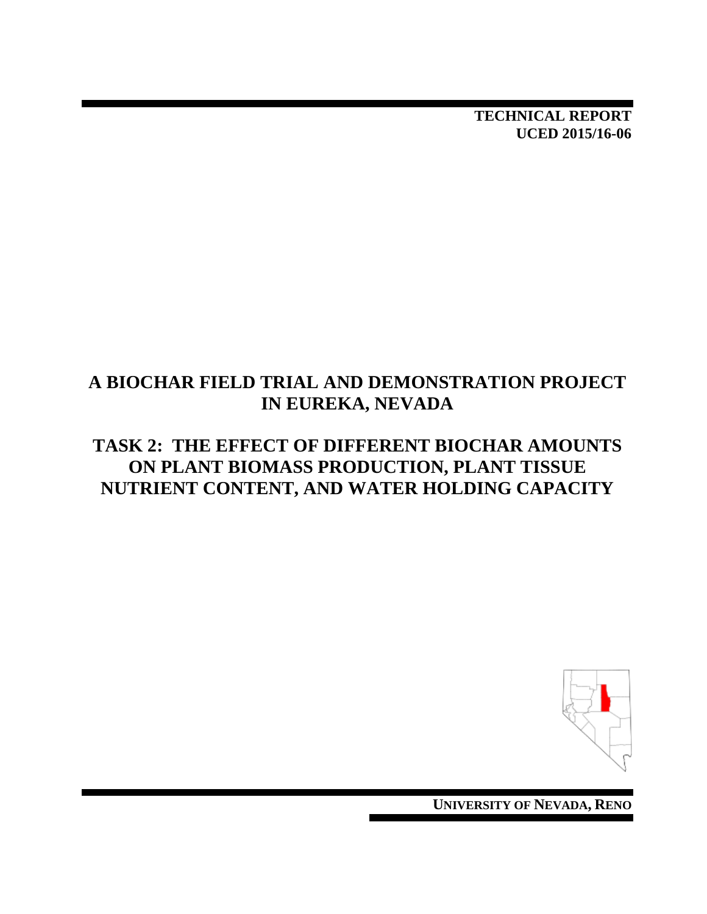**TECHNICAL REPORT UCED 2015/16-06**

## **A BIOCHAR FIELD TRIAL AND DEMONSTRATION PROJECT IN EUREKA, NEVADA**

## **TASK 2: THE EFFECT OF DIFFERENT BIOCHAR AMOUNTS ON PLANT BIOMASS PRODUCTION, PLANT TISSUE NUTRIENT CONTENT, AND WATER HOLDING CAPACITY**



**UNIVERSITY OF NEVADA, RENO**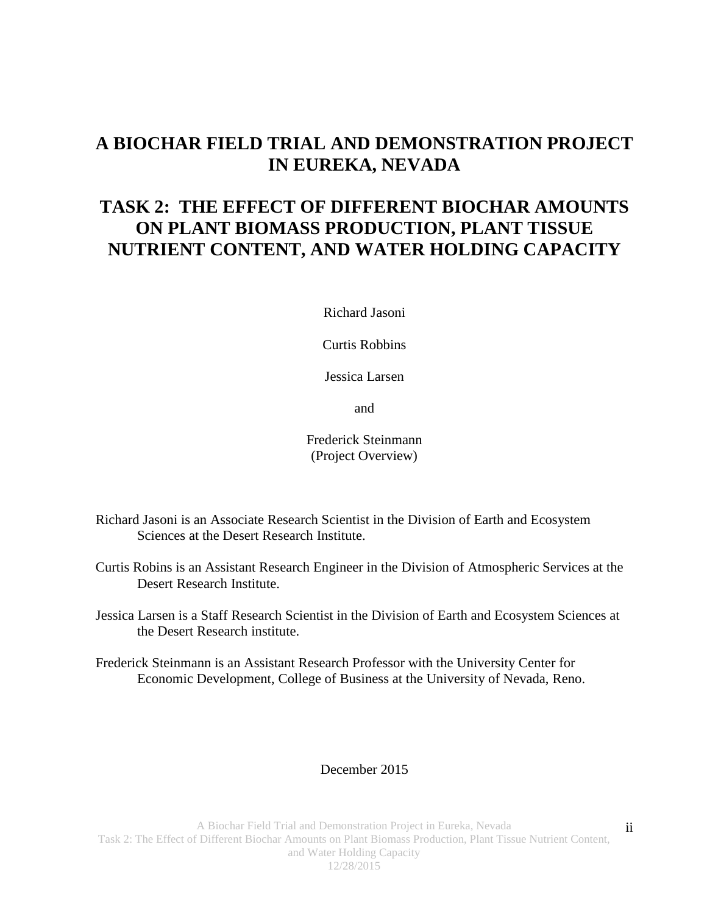## **A BIOCHAR FIELD TRIAL AND DEMONSTRATION PROJECT IN EUREKA, NEVADA**

## **TASK 2: THE EFFECT OF DIFFERENT BIOCHAR AMOUNTS ON PLANT BIOMASS PRODUCTION, PLANT TISSUE NUTRIENT CONTENT, AND WATER HOLDING CAPACITY**

Richard Jasoni

Curtis Robbins

Jessica Larsen

and

Frederick Steinmann (Project Overview)

- Richard Jasoni is an Associate Research Scientist in the Division of Earth and Ecosystem Sciences at the Desert Research Institute.
- Curtis Robins is an Assistant Research Engineer in the Division of Atmospheric Services at the Desert Research Institute.
- Jessica Larsen is a Staff Research Scientist in the Division of Earth and Ecosystem Sciences at the Desert Research institute.
- Frederick Steinmann is an Assistant Research Professor with the University Center for Economic Development, College of Business at the University of Nevada, Reno.

#### December 2015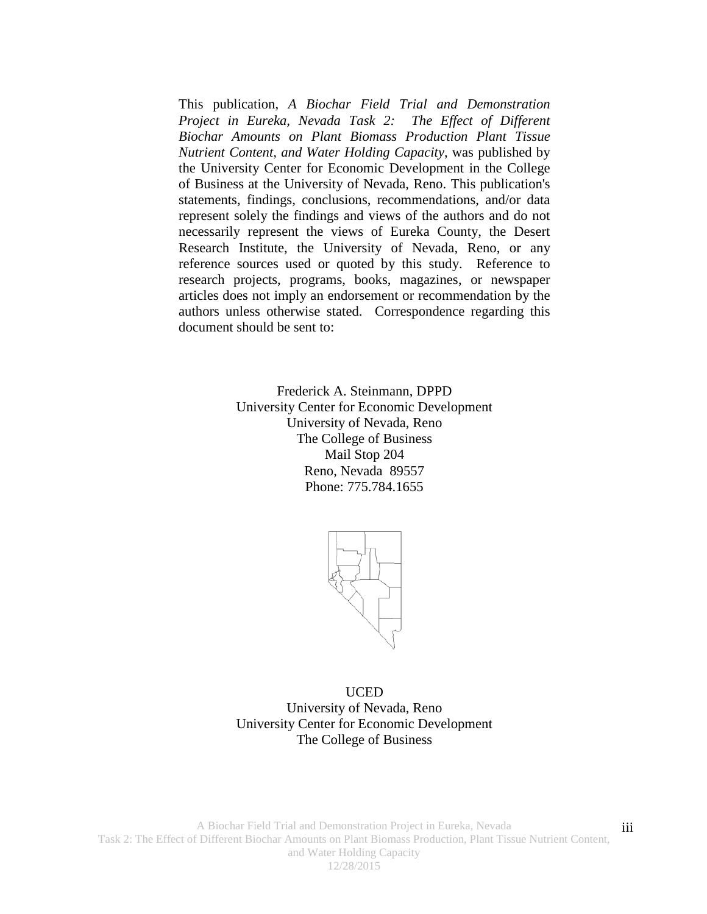This publication, *A Biochar Field Trial and Demonstration Project in Eureka, Nevada Task 2: The Effect of Different Biochar Amounts on Plant Biomass Production Plant Tissue Nutrient Content, and Water Holding Capacity*, was published by the University Center for Economic Development in the College of Business at the University of Nevada, Reno. This publication's statements, findings, conclusions, recommendations, and/or data represent solely the findings and views of the authors and do not necessarily represent the views of Eureka County, the Desert Research Institute, the University of Nevada, Reno, or any reference sources used or quoted by this study. Reference to research projects, programs, books, magazines, or newspaper articles does not imply an endorsement or recommendation by the authors unless otherwise stated. Correspondence regarding this document should be sent to:

> Frederick A. Steinmann, DPPD University Center for Economic Development University of Nevada, Reno The College of Business Mail Stop 204 Reno, Nevada 89557 Phone: 775.784.1655



UCED University of Nevada, Reno University Center for Economic Development The College of Business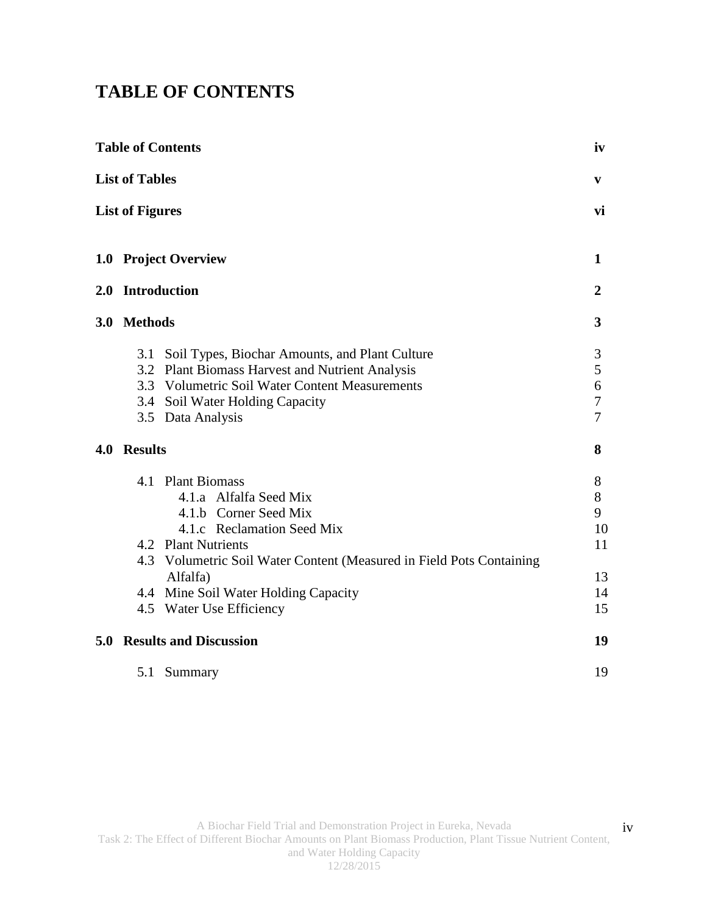# **TABLE OF CONTENTS**

|     |                        | <b>Table of Contents</b>                                                                                                                                                                                                                                                          | iv                                        |
|-----|------------------------|-----------------------------------------------------------------------------------------------------------------------------------------------------------------------------------------------------------------------------------------------------------------------------------|-------------------------------------------|
|     | <b>List of Tables</b>  |                                                                                                                                                                                                                                                                                   | V                                         |
|     | <b>List of Figures</b> |                                                                                                                                                                                                                                                                                   | vi                                        |
|     |                        | 1.0 Project Overview                                                                                                                                                                                                                                                              | $\mathbf{1}$                              |
|     | 2.0 Introduction       |                                                                                                                                                                                                                                                                                   | $\overline{2}$                            |
|     | 3.0 Methods            |                                                                                                                                                                                                                                                                                   | $\mathbf{3}$                              |
|     | 3.1                    | Soil Types, Biochar Amounts, and Plant Culture<br>3.2 Plant Biomass Harvest and Nutrient Analysis<br>3.3 Volumetric Soil Water Content Measurements<br>3.4 Soil Water Holding Capacity<br>3.5 Data Analysis                                                                       | 3<br>5<br>6<br>$\boldsymbol{7}$<br>7      |
| 4.0 | <b>Results</b>         |                                                                                                                                                                                                                                                                                   | 8                                         |
|     |                        | 4.1 Plant Biomass<br>4.1.a Alfalfa Seed Mix<br>4.1.b Corner Seed Mix<br>4.1.c Reclamation Seed Mix<br>4.2 Plant Nutrients<br>4.3 Volumetric Soil Water Content (Measured in Field Pots Containing<br>Alfalfa)<br>4.4 Mine Soil Water Holding Capacity<br>4.5 Water Use Efficiency | 8<br>8<br>9<br>10<br>11<br>13<br>14<br>15 |
|     |                        | <b>5.0 Results and Discussion</b>                                                                                                                                                                                                                                                 | 19                                        |
|     | 5.1                    | Summary                                                                                                                                                                                                                                                                           | 19                                        |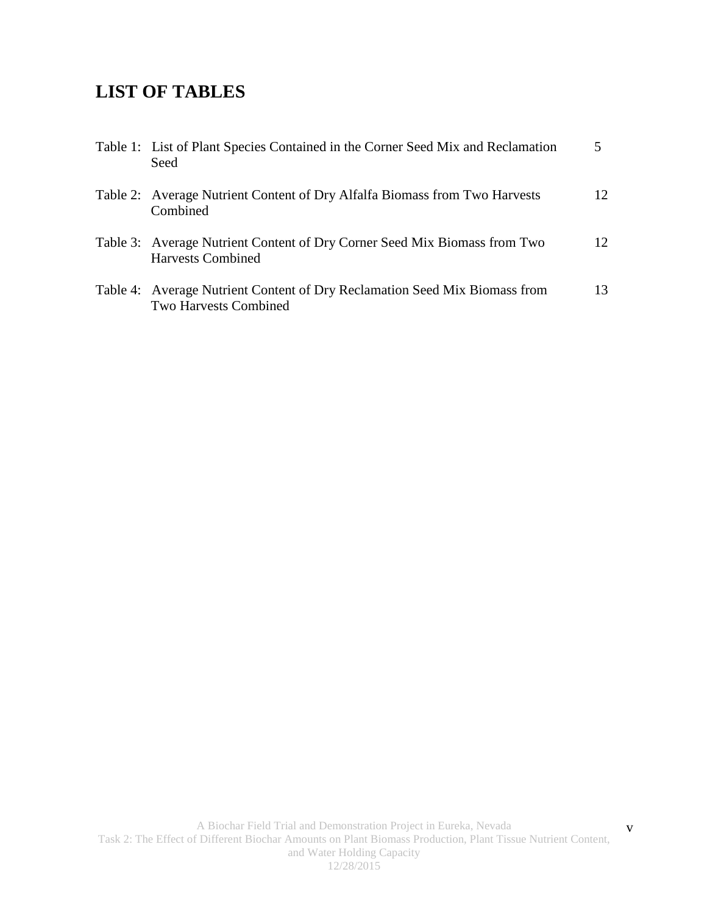# **LIST OF TABLES**

| Table 1: List of Plant Species Contained in the Corner Seed Mix and Reclamation<br>Seed                    |                 |
|------------------------------------------------------------------------------------------------------------|-----------------|
| Table 2: Average Nutrient Content of Dry Alfalfa Biomass from Two Harvests<br>Combined                     | 12              |
| Table 3: Average Nutrient Content of Dry Corner Seed Mix Biomass from Two<br><b>Harvests Combined</b>      | 12 <sub>1</sub> |
| Table 4: Average Nutrient Content of Dry Reclamation Seed Mix Biomass from<br><b>Two Harvests Combined</b> | 13              |

v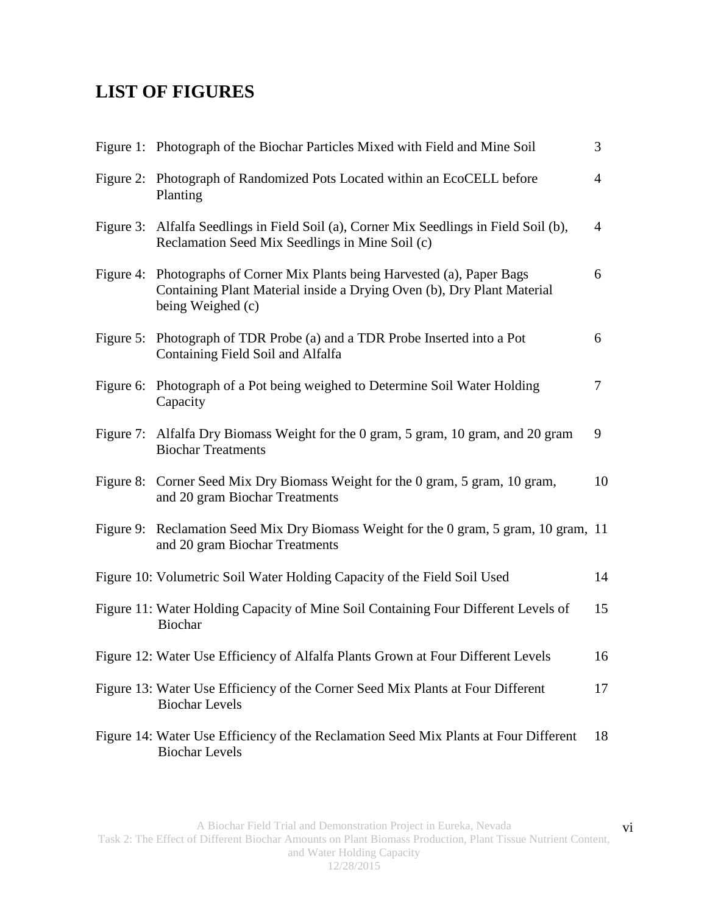# **LIST OF FIGURES**

|           | Figure 1: Photograph of the Biochar Particles Mixed with Field and Mine Soil                                                                                    | 3              |
|-----------|-----------------------------------------------------------------------------------------------------------------------------------------------------------------|----------------|
|           | Figure 2: Photograph of Randomized Pots Located within an EcoCELL before<br>Planting                                                                            | $\overline{4}$ |
|           | Figure 3: Alfalfa Seedlings in Field Soil (a), Corner Mix Seedlings in Field Soil (b),<br>Reclamation Seed Mix Seedlings in Mine Soil (c)                       | $\overline{4}$ |
| Figure 4: | Photographs of Corner Mix Plants being Harvested (a), Paper Bags<br>Containing Plant Material inside a Drying Oven (b), Dry Plant Material<br>being Weighed (c) | 6              |
|           | Figure 5: Photograph of TDR Probe (a) and a TDR Probe Inserted into a Pot<br>Containing Field Soil and Alfalfa                                                  | 6              |
|           | Figure 6: Photograph of a Pot being weighed to Determine Soil Water Holding<br>Capacity                                                                         | $\tau$         |
|           | Figure 7: Alfalfa Dry Biomass Weight for the 0 gram, 5 gram, 10 gram, and 20 gram<br><b>Biochar Treatments</b>                                                  | 9              |
|           | Figure 8: Corner Seed Mix Dry Biomass Weight for the 0 gram, 5 gram, 10 gram,<br>and 20 gram Biochar Treatments                                                 | 10             |
|           | Figure 9: Reclamation Seed Mix Dry Biomass Weight for the 0 gram, 5 gram, 10 gram, 11<br>and 20 gram Biochar Treatments                                         |                |
|           | Figure 10: Volumetric Soil Water Holding Capacity of the Field Soil Used                                                                                        | 14             |
|           | Figure 11: Water Holding Capacity of Mine Soil Containing Four Different Levels of<br>Biochar                                                                   | 15             |
|           | Figure 12: Water Use Efficiency of Alfalfa Plants Grown at Four Different Levels                                                                                | 16             |
|           | Figure 13: Water Use Efficiency of the Corner Seed Mix Plants at Four Different<br><b>Biochar Levels</b>                                                        | 17             |
|           | Figure 14: Water Use Efficiency of the Reclamation Seed Mix Plants at Four Different<br><b>Biochar Levels</b>                                                   | 18             |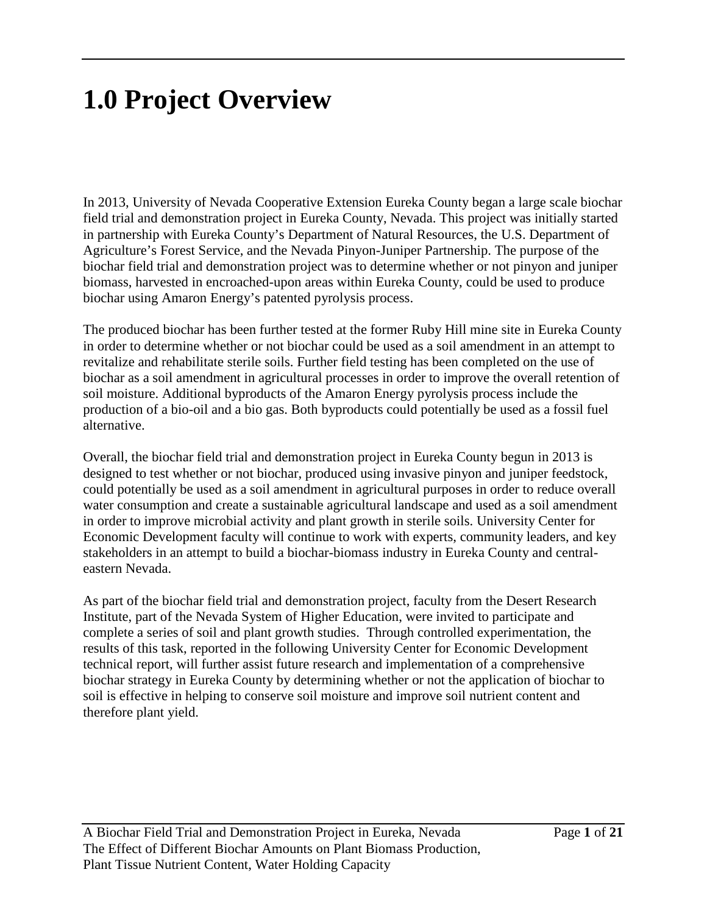# **1.0 Project Overview**

In 2013, University of Nevada Cooperative Extension Eureka County began a large scale biochar field trial and demonstration project in Eureka County, Nevada. This project was initially started in partnership with Eureka County's Department of Natural Resources, the U.S. Department of Agriculture's Forest Service, and the Nevada Pinyon-Juniper Partnership. The purpose of the biochar field trial and demonstration project was to determine whether or not pinyon and juniper biomass, harvested in encroached-upon areas within Eureka County, could be used to produce biochar using Amaron Energy's patented pyrolysis process.

The produced biochar has been further tested at the former Ruby Hill mine site in Eureka County in order to determine whether or not biochar could be used as a soil amendment in an attempt to revitalize and rehabilitate sterile soils. Further field testing has been completed on the use of biochar as a soil amendment in agricultural processes in order to improve the overall retention of soil moisture. Additional byproducts of the Amaron Energy pyrolysis process include the production of a bio-oil and a bio gas. Both byproducts could potentially be used as a fossil fuel alternative.

Overall, the biochar field trial and demonstration project in Eureka County begun in 2013 is designed to test whether or not biochar, produced using invasive pinyon and juniper feedstock, could potentially be used as a soil amendment in agricultural purposes in order to reduce overall water consumption and create a sustainable agricultural landscape and used as a soil amendment in order to improve microbial activity and plant growth in sterile soils. University Center for Economic Development faculty will continue to work with experts, community leaders, and key stakeholders in an attempt to build a biochar-biomass industry in Eureka County and centraleastern Nevada.

As part of the biochar field trial and demonstration project, faculty from the Desert Research Institute, part of the Nevada System of Higher Education, were invited to participate and complete a series of soil and plant growth studies. Through controlled experimentation, the results of this task, reported in the following University Center for Economic Development technical report, will further assist future research and implementation of a comprehensive biochar strategy in Eureka County by determining whether or not the application of biochar to soil is effective in helping to conserve soil moisture and improve soil nutrient content and therefore plant yield.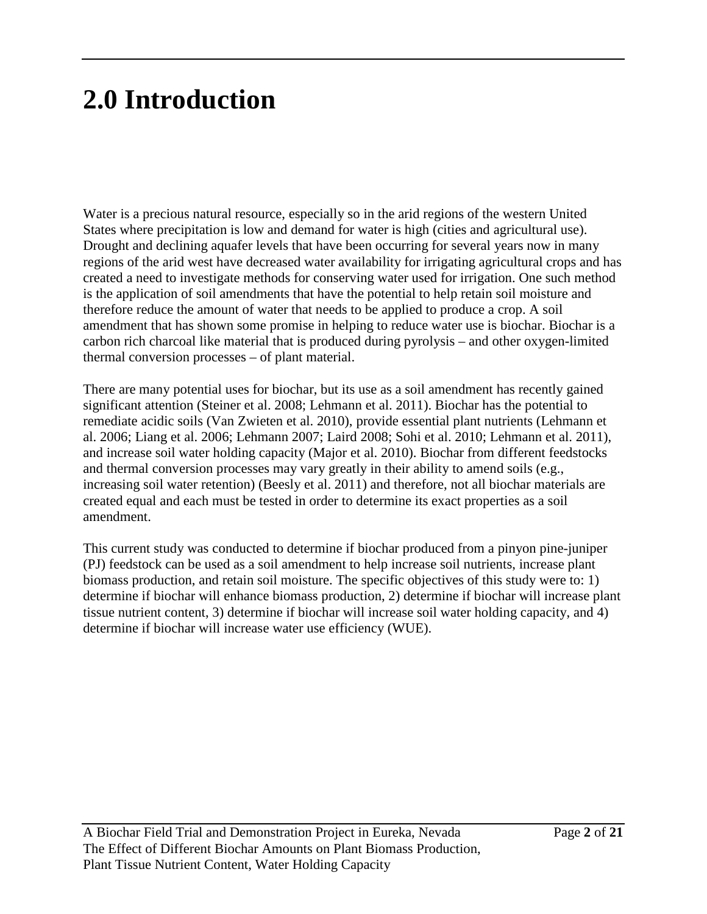# **2.0 Introduction**

Water is a precious natural resource, especially so in the arid regions of the western United States where precipitation is low and demand for water is high (cities and agricultural use). Drought and declining aquafer levels that have been occurring for several years now in many regions of the arid west have decreased water availability for irrigating agricultural crops and has created a need to investigate methods for conserving water used for irrigation. One such method is the application of soil amendments that have the potential to help retain soil moisture and therefore reduce the amount of water that needs to be applied to produce a crop. A soil amendment that has shown some promise in helping to reduce water use is biochar. Biochar is a carbon rich charcoal like material that is produced during pyrolysis – and other oxygen-limited thermal conversion processes – of plant material.

There are many potential uses for biochar, but its use as a soil amendment has recently gained significant attention (Steiner et al. 2008; Lehmann et al. 2011). Biochar has the potential to remediate acidic soils (Van Zwieten et al. 2010), provide essential plant nutrients (Lehmann et al. 2006; Liang et al. 2006; Lehmann 2007; Laird 2008; Sohi et al. 2010; Lehmann et al. 2011), and increase soil water holding capacity (Major et al. 2010). Biochar from different feedstocks and thermal conversion processes may vary greatly in their ability to amend soils (e.g., increasing soil water retention) (Beesly et al. 2011) and therefore, not all biochar materials are created equal and each must be tested in order to determine its exact properties as a soil amendment.

This current study was conducted to determine if biochar produced from a pinyon pine-juniper (PJ) feedstock can be used as a soil amendment to help increase soil nutrients, increase plant biomass production, and retain soil moisture. The specific objectives of this study were to: 1) determine if biochar will enhance biomass production, 2) determine if biochar will increase plant tissue nutrient content, 3) determine if biochar will increase soil water holding capacity, and 4) determine if biochar will increase water use efficiency (WUE).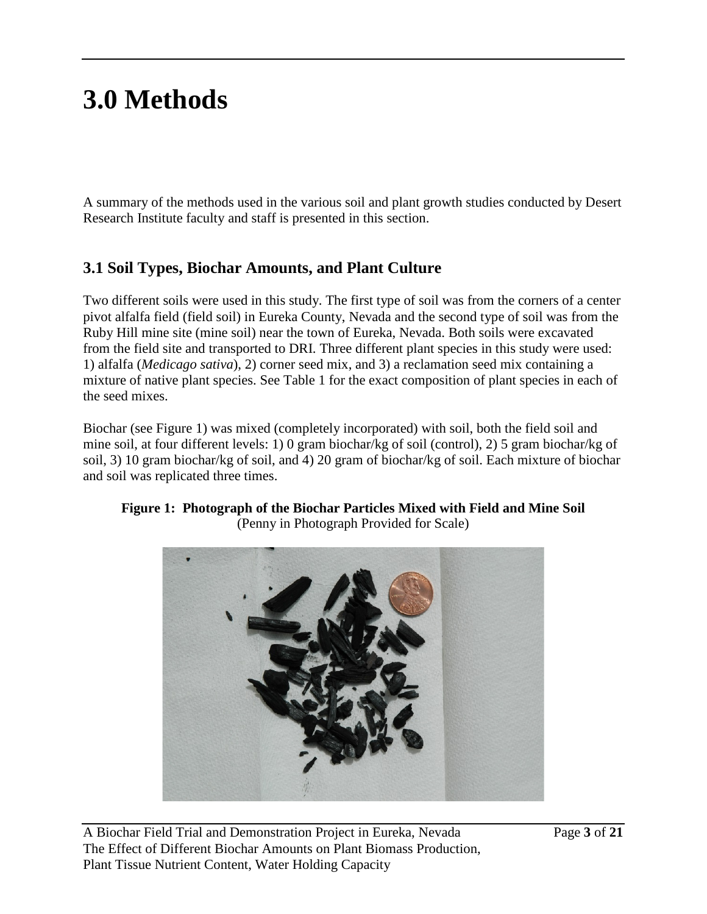# **3.0 Methods**

A summary of the methods used in the various soil and plant growth studies conducted by Desert Research Institute faculty and staff is presented in this section.

## **3.1 Soil Types, Biochar Amounts, and Plant Culture**

Two different soils were used in this study. The first type of soil was from the corners of a center pivot alfalfa field (field soil) in Eureka County, Nevada and the second type of soil was from the Ruby Hill mine site (mine soil) near the town of Eureka, Nevada. Both soils were excavated from the field site and transported to DRI. Three different plant species in this study were used: 1) alfalfa (*Medicago sativa*), 2) corner seed mix, and 3) a reclamation seed mix containing a mixture of native plant species. See Table 1 for the exact composition of plant species in each of the seed mixes.

Biochar (see Figure 1) was mixed (completely incorporated) with soil, both the field soil and mine soil, at four different levels: 1) 0 gram biochar/kg of soil (control), 2) 5 gram biochar/kg of soil, 3) 10 gram biochar/kg of soil, and 4) 20 gram of biochar/kg of soil. Each mixture of biochar and soil was replicated three times.



#### **Figure 1: Photograph of the Biochar Particles Mixed with Field and Mine Soil** (Penny in Photograph Provided for Scale)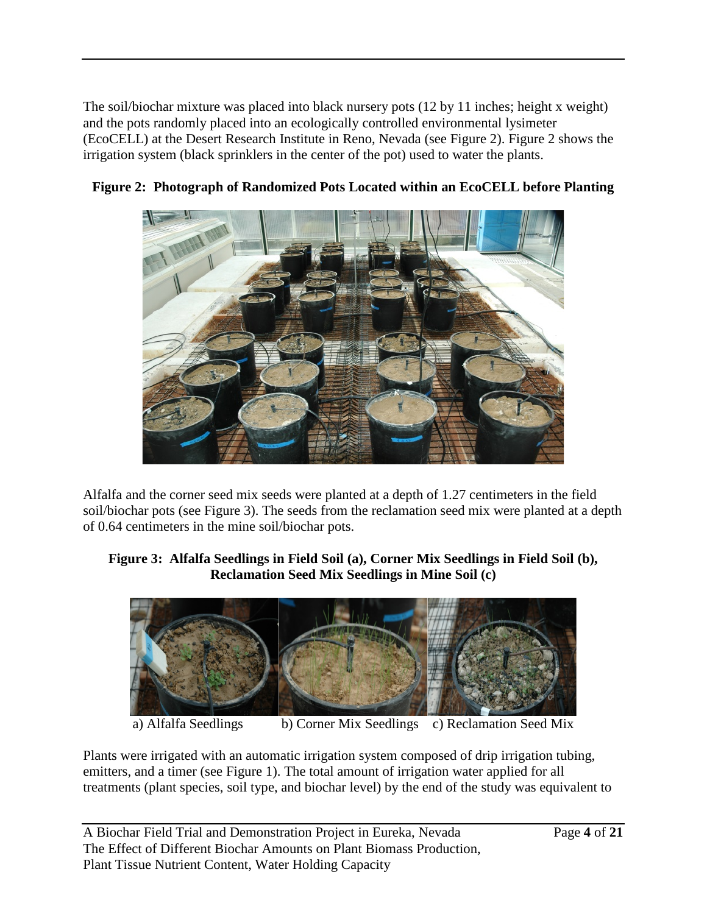The soil/biochar mixture was placed into black nursery pots (12 by 11 inches; height x weight) and the pots randomly placed into an ecologically controlled environmental lysimeter (EcoCELL) at the Desert Research Institute in Reno, Nevada (see Figure 2). Figure 2 shows the irrigation system (black sprinklers in the center of the pot) used to water the plants.



**Figure 2: Photograph of Randomized Pots Located within an EcoCELL before Planting**

Alfalfa and the corner seed mix seeds were planted at a depth of 1.27 centimeters in the field soil/biochar pots (see Figure 3). The seeds from the reclamation seed mix were planted at a depth of 0.64 centimeters in the mine soil/biochar pots.

#### **Figure 3: Alfalfa Seedlings in Field Soil (a), Corner Mix Seedlings in Field Soil (b), Reclamation Seed Mix Seedlings in Mine Soil (c)**



a) Alfalfa Seedlings b) Corner Mix Seedlings c) Reclamation Seed Mix

Plants were irrigated with an automatic irrigation system composed of drip irrigation tubing, emitters, and a timer (see Figure 1). The total amount of irrigation water applied for all treatments (plant species, soil type, and biochar level) by the end of the study was equivalent to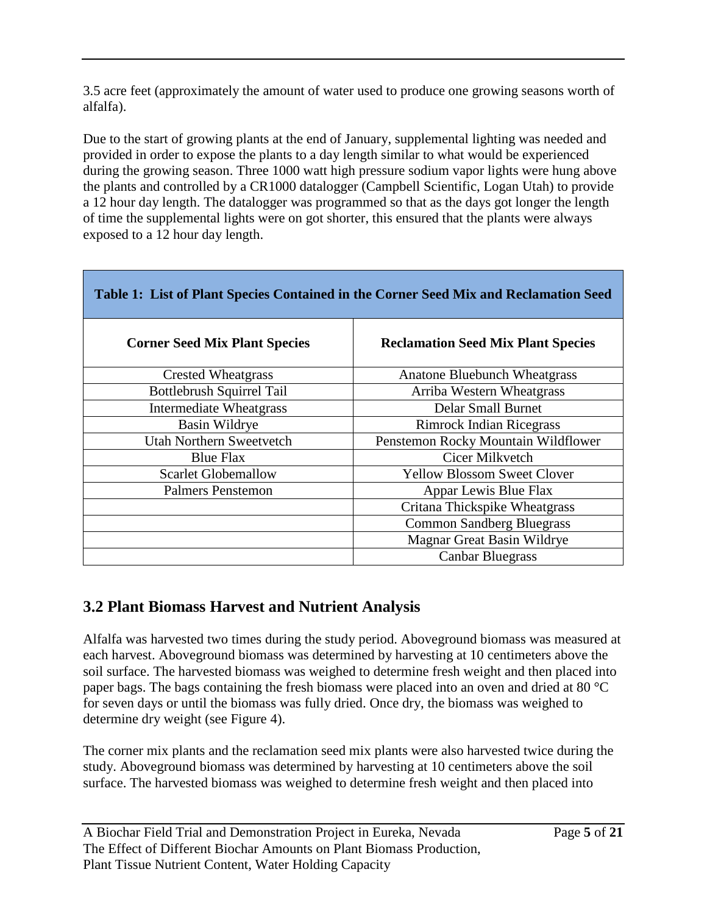3.5 acre feet (approximately the amount of water used to produce one growing seasons worth of alfalfa).

Due to the start of growing plants at the end of January, supplemental lighting was needed and provided in order to expose the plants to a day length similar to what would be experienced during the growing season. Three 1000 watt high pressure sodium vapor lights were hung above the plants and controlled by a CR1000 datalogger (Campbell Scientific, Logan Utah) to provide a 12 hour day length. The datalogger was programmed so that as the days got longer the length of time the supplemental lights were on got shorter, this ensured that the plants were always exposed to a 12 hour day length.

| <b>Corner Seed Mix Plant Species</b> | <b>Reclamation Seed Mix Plant Species</b> |
|--------------------------------------|-------------------------------------------|
| <b>Crested Wheatgrass</b>            | Anatone Bluebunch Wheatgrass              |
| <b>Bottlebrush Squirrel Tail</b>     | Arriba Western Wheatgrass                 |
| <b>Intermediate Wheatgrass</b>       | <b>Delar Small Burnet</b>                 |
| Basin Wildrye                        | <b>Rimrock Indian Ricegrass</b>           |
| <b>Utah Northern Sweetvetch</b>      | Penstemon Rocky Mountain Wildflower       |
| <b>Blue Flax</b>                     | Cicer Milkvetch                           |
| <b>Scarlet Globemallow</b>           | <b>Yellow Blossom Sweet Clover</b>        |
| <b>Palmers Penstemon</b>             | Appar Lewis Blue Flax                     |
|                                      | Critana Thickspike Wheatgrass             |
|                                      | <b>Common Sandberg Bluegrass</b>          |
|                                      | Magnar Great Basin Wildrye                |
|                                      | <b>Canbar Bluegrass</b>                   |

## **Table 1: List of Plant Species Contained in the Corner Seed Mix and Reclamation Seed**

## **3.2 Plant Biomass Harvest and Nutrient Analysis**

Alfalfa was harvested two times during the study period. Aboveground biomass was measured at each harvest. Aboveground biomass was determined by harvesting at 10 centimeters above the soil surface. The harvested biomass was weighed to determine fresh weight and then placed into paper bags. The bags containing the fresh biomass were placed into an oven and dried at 80 °C for seven days or until the biomass was fully dried. Once dry, the biomass was weighed to determine dry weight (see Figure 4).

The corner mix plants and the reclamation seed mix plants were also harvested twice during the study. Aboveground biomass was determined by harvesting at 10 centimeters above the soil surface. The harvested biomass was weighed to determine fresh weight and then placed into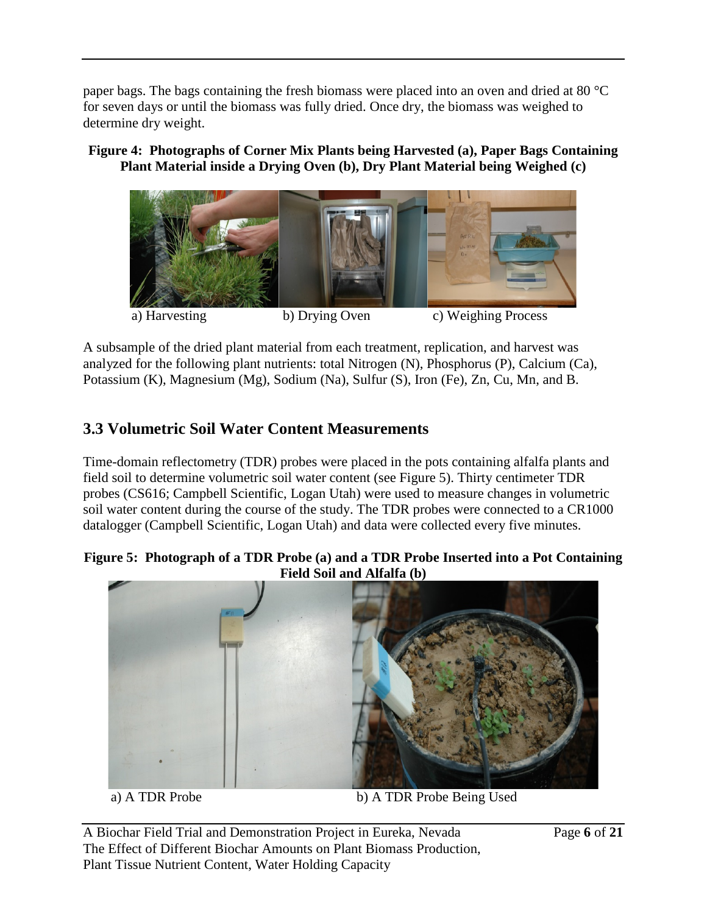paper bags. The bags containing the fresh biomass were placed into an oven and dried at 80 °C for seven days or until the biomass was fully dried. Once dry, the biomass was weighed to determine dry weight.

### **Figure 4: Photographs of Corner Mix Plants being Harvested (a), Paper Bags Containing Plant Material inside a Drying Oven (b), Dry Plant Material being Weighed (c)**



A subsample of the dried plant material from each treatment, replication, and harvest was analyzed for the following plant nutrients: total Nitrogen (N), Phosphorus (P), Calcium (Ca), Potassium (K), Magnesium (Mg), Sodium (Na), Sulfur (S), Iron (Fe), Zn, Cu, Mn, and B.

## **3.3 Volumetric Soil Water Content Measurements**

Time-domain reflectometry (TDR) probes were placed in the pots containing alfalfa plants and field soil to determine volumetric soil water content (see Figure 5). Thirty centimeter TDR probes (CS616; Campbell Scientific, Logan Utah) were used to measure changes in volumetric soil water content during the course of the study. The TDR probes were connected to a CR1000 datalogger (Campbell Scientific, Logan Utah) and data were collected every five minutes.

### **Figure 5: Photograph of a TDR Probe (a) and a TDR Probe Inserted into a Pot Containing Field Soil and Alfalfa (b)**



a) A TDR Probe b) A TDR Probe Being Used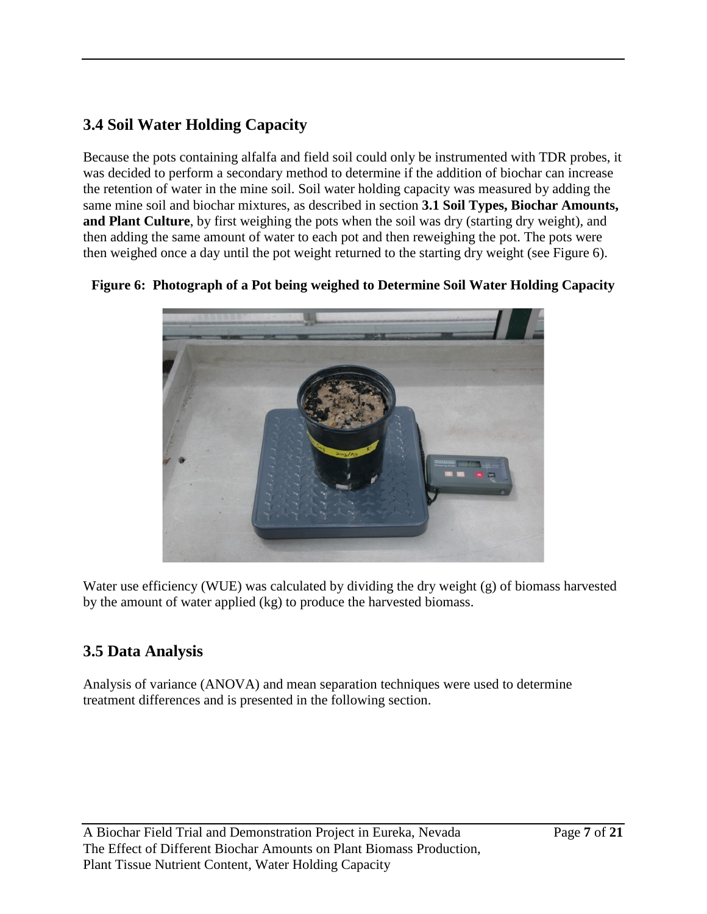## **3.4 Soil Water Holding Capacity**

Because the pots containing alfalfa and field soil could only be instrumented with TDR probes, it was decided to perform a secondary method to determine if the addition of biochar can increase the retention of water in the mine soil. Soil water holding capacity was measured by adding the same mine soil and biochar mixtures, as described in section **3.1 Soil Types, Biochar Amounts, and Plant Culture**, by first weighing the pots when the soil was dry (starting dry weight), and then adding the same amount of water to each pot and then reweighing the pot. The pots were then weighed once a day until the pot weight returned to the starting dry weight (see Figure 6).

## **Figure 6: Photograph of a Pot being weighed to Determine Soil Water Holding Capacity**



Water use efficiency (WUE) was calculated by dividing the dry weight (g) of biomass harvested by the amount of water applied (kg) to produce the harvested biomass.

## **3.5 Data Analysis**

Analysis of variance (ANOVA) and mean separation techniques were used to determine treatment differences and is presented in the following section.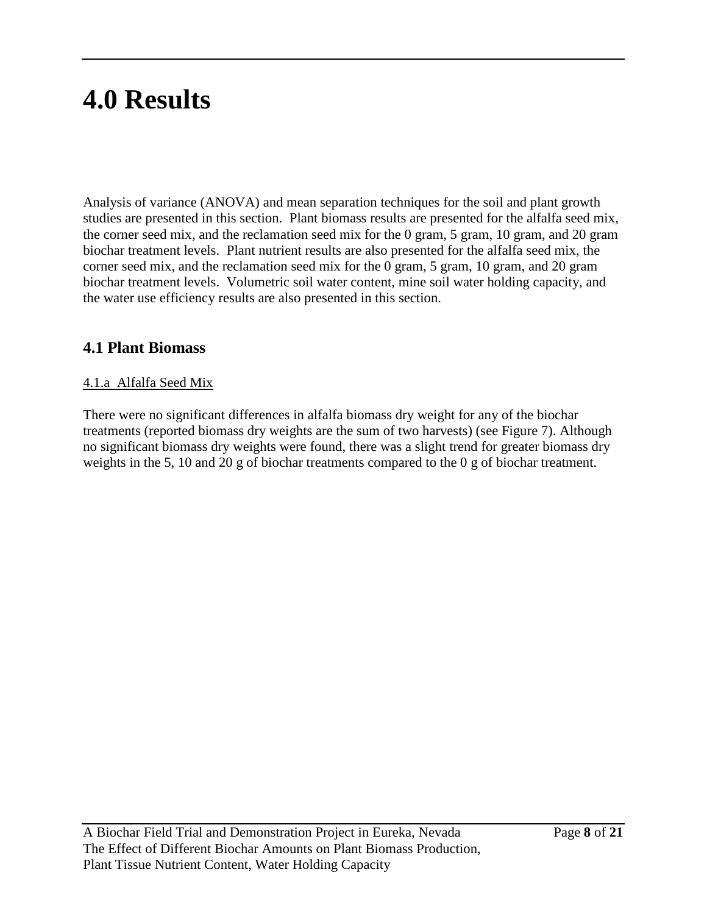# **4.0 Results**

Analysis of variance (ANOVA) and mean separation techniques for the soil and plant growth studies are presented in this section. Plant biomass results are presented for the alfalfa seed mix, the corner seed mix, and the reclamation seed mix for the 0 gram, 5 gram, 10 gram, and 20 gram biochar treatment levels. Plant nutrient results are also presented for the alfalfa seed mix, the corner seed mix, and the reclamation seed mix for the 0 gram, 5 gram, 10 gram, and 20 gram biochar treatment levels. Volumetric soil water content, mine soil water holding capacity, and the water use efficiency results are also presented in this section.

## **4.1 Plant Biomass**

## 4.1.a Alfalfa Seed Mix

There were no significant differences in alfalfa biomass dry weight for any of the biochar treatments (reported biomass dry weights are the sum of two harvests) (see Figure 7). Although no significant biomass dry weights were found, there was a slight trend for greater biomass dry weights in the 5, 10 and 20 g of biochar treatments compared to the 0 g of biochar treatment.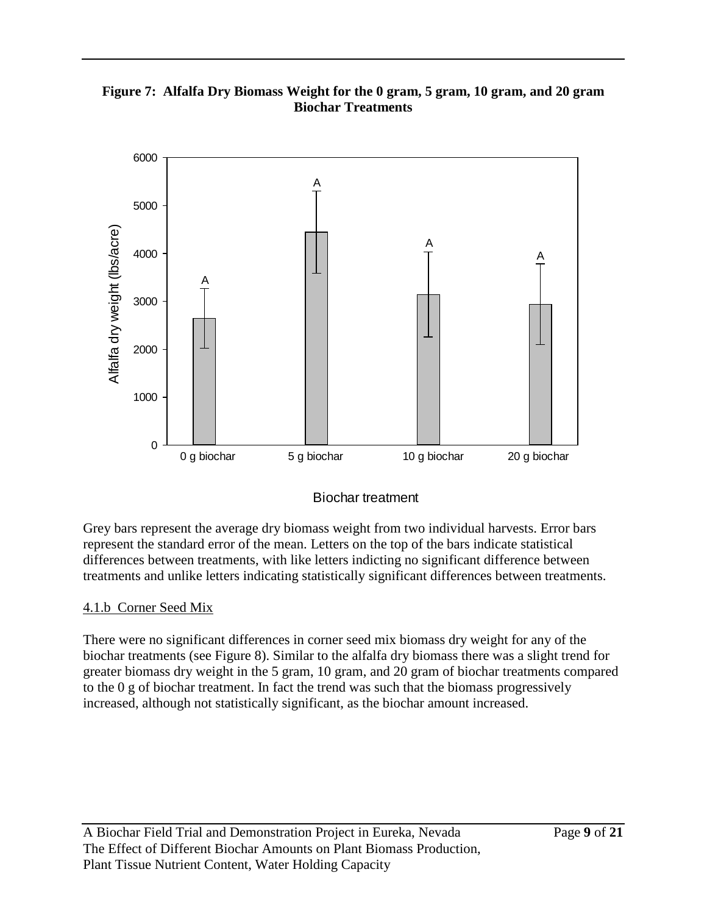#### **Figure 7: Alfalfa Dry Biomass Weight for the 0 gram, 5 gram, 10 gram, and 20 gram Biochar Treatments**



### Biochar treatment

Grey bars represent the average dry biomass weight from two individual harvests. Error bars represent the standard error of the mean. Letters on the top of the bars indicate statistical differences between treatments, with like letters indicting no significant difference between treatments and unlike letters indicating statistically significant differences between treatments.

#### 4.1.b Corner Seed Mix

There were no significant differences in corner seed mix biomass dry weight for any of the biochar treatments (see Figure 8). Similar to the alfalfa dry biomass there was a slight trend for greater biomass dry weight in the 5 gram, 10 gram, and 20 gram of biochar treatments compared to the 0 g of biochar treatment. In fact the trend was such that the biomass progressively increased, although not statistically significant, as the biochar amount increased.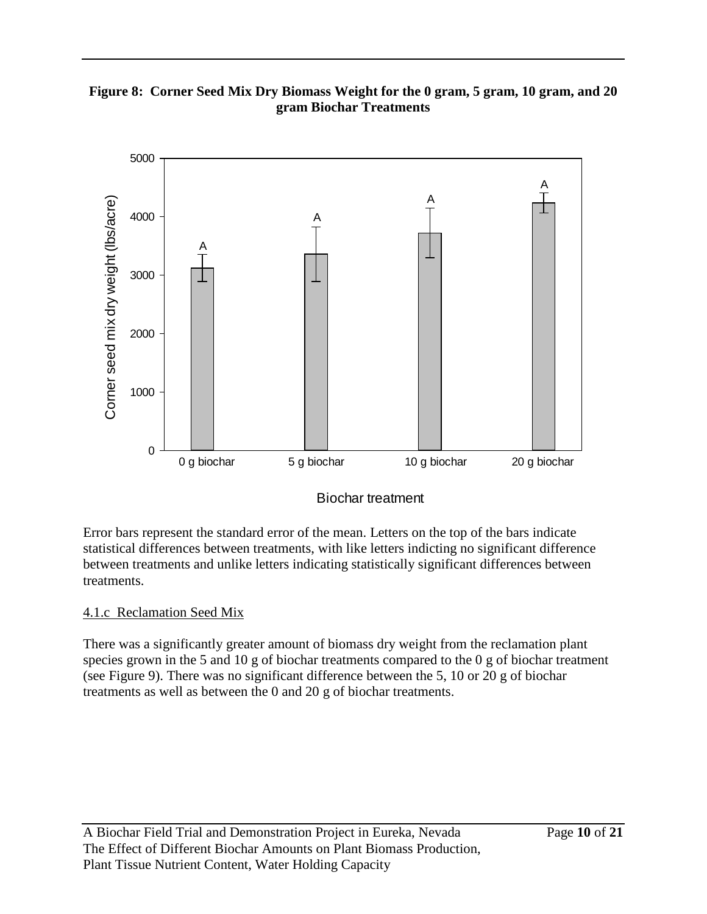#### **Figure 8: Corner Seed Mix Dry Biomass Weight for the 0 gram, 5 gram, 10 gram, and 20 gram Biochar Treatments**



### Biochar treatment

Error bars represent the standard error of the mean. Letters on the top of the bars indicate statistical differences between treatments, with like letters indicting no significant difference between treatments and unlike letters indicating statistically significant differences between treatments.

#### 4.1.c Reclamation Seed Mix

There was a significantly greater amount of biomass dry weight from the reclamation plant species grown in the 5 and 10 g of biochar treatments compared to the 0 g of biochar treatment (see Figure 9). There was no significant difference between the 5, 10 or 20 g of biochar treatments as well as between the 0 and 20 g of biochar treatments.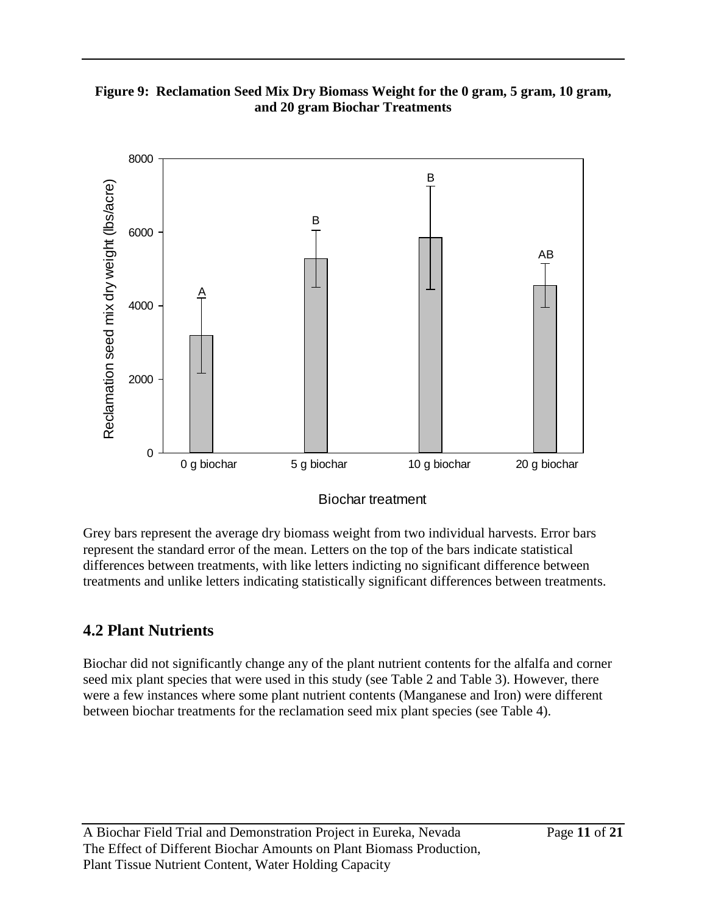#### **Figure 9: Reclamation Seed Mix Dry Biomass Weight for the 0 gram, 5 gram, 10 gram, and 20 gram Biochar Treatments**



Biochar treatment

Grey bars represent the average dry biomass weight from two individual harvests. Error bars represent the standard error of the mean. Letters on the top of the bars indicate statistical differences between treatments, with like letters indicting no significant difference between treatments and unlike letters indicating statistically significant differences between treatments.

## **4.2 Plant Nutrients**

Biochar did not significantly change any of the plant nutrient contents for the alfalfa and corner seed mix plant species that were used in this study (see Table 2 and Table 3). However, there were a few instances where some plant nutrient contents (Manganese and Iron) were different between biochar treatments for the reclamation seed mix plant species (see Table 4).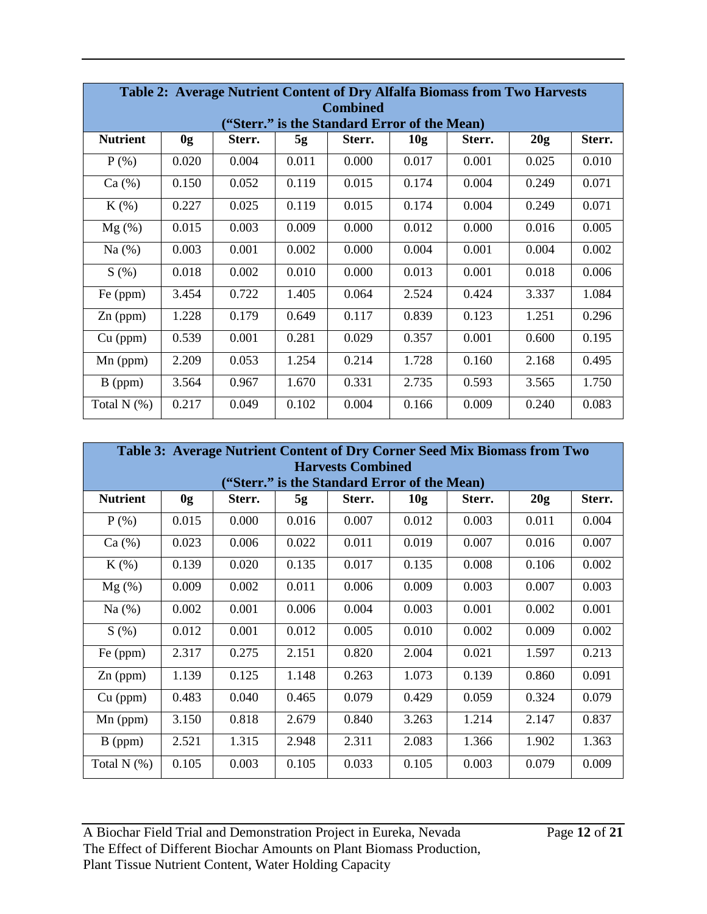| Table 2: Average Nutrient Content of Dry Alfalfa Biomass from Two Harvests<br><b>Combined</b> |                                             |        |       |        |       |        |       |        |  |
|-----------------------------------------------------------------------------------------------|---------------------------------------------|--------|-------|--------|-------|--------|-------|--------|--|
|                                                                                               | "Sterr." is the Standard Error of the Mean) |        |       |        |       |        |       |        |  |
| <b>Nutrient</b>                                                                               | 0g                                          | Sterr. | 5g    | Sterr. | 10g   | Sterr. | 20g   | Sterr. |  |
| $P$ (%)                                                                                       | 0.020                                       | 0.004  | 0.011 | 0.000  | 0.017 | 0.001  | 0.025 | 0.010  |  |
| Ca (%)                                                                                        | 0.150                                       | 0.052  | 0.119 | 0.015  | 0.174 | 0.004  | 0.249 | 0.071  |  |
| $K(\%)$                                                                                       | 0.227                                       | 0.025  | 0.119 | 0.015  | 0.174 | 0.004  | 0.249 | 0.071  |  |
| $Mg(\%)$                                                                                      | 0.015                                       | 0.003  | 0.009 | 0.000  | 0.012 | 0.000  | 0.016 | 0.005  |  |
| Na $(%)$                                                                                      | 0.003                                       | 0.001  | 0.002 | 0.000  | 0.004 | 0.001  | 0.004 | 0.002  |  |
| S(%)                                                                                          | 0.018                                       | 0.002  | 0.010 | 0.000  | 0.013 | 0.001  | 0.018 | 0.006  |  |
| Fe (ppm)                                                                                      | 3.454                                       | 0.722  | 1.405 | 0.064  | 2.524 | 0.424  | 3.337 | 1.084  |  |
| $Zn$ (ppm)                                                                                    | 1.228                                       | 0.179  | 0.649 | 0.117  | 0.839 | 0.123  | 1.251 | 0.296  |  |
| $Cu$ (ppm)                                                                                    | 0.539                                       | 0.001  | 0.281 | 0.029  | 0.357 | 0.001  | 0.600 | 0.195  |  |
| $Mn$ (ppm)                                                                                    | 2.209                                       | 0.053  | 1.254 | 0.214  | 1.728 | 0.160  | 2.168 | 0.495  |  |
| $B$ (ppm)                                                                                     | 3.564                                       | 0.967  | 1.670 | 0.331  | 2.735 | 0.593  | 3.565 | 1.750  |  |
| Total $N$ $(\%)$                                                                              | 0.217                                       | 0.049  | 0.102 | 0.004  | 0.166 | 0.009  | 0.240 | 0.083  |  |

| Table 3: Average Nutrient Content of Dry Corner Seed Mix Biomass from Two<br><b>Harvests Combined</b> |       |        |       |                                             |       |        |       |        |
|-------------------------------------------------------------------------------------------------------|-------|--------|-------|---------------------------------------------|-------|--------|-------|--------|
|                                                                                                       |       |        |       | "Sterr." is the Standard Error of the Mean) |       |        |       |        |
| <b>Nutrient</b>                                                                                       | 0g    | Sterr. | 5g    | Sterr.                                      | 10g   | Sterr. | 20g   | Sterr. |
| $P$ (%)                                                                                               | 0.015 | 0.000  | 0.016 | 0.007                                       | 0.012 | 0.003  | 0.011 | 0.004  |
| Ca (%)                                                                                                | 0.023 | 0.006  | 0.022 | 0.011                                       | 0.019 | 0.007  | 0.016 | 0.007  |
| $K(\%)$                                                                                               | 0.139 | 0.020  | 0.135 | 0.017                                       | 0.135 | 0.008  | 0.106 | 0.002  |
| $Mg(\%)$                                                                                              | 0.009 | 0.002  | 0.011 | 0.006                                       | 0.009 | 0.003  | 0.007 | 0.003  |
| Na $(%)$                                                                                              | 0.002 | 0.001  | 0.006 | 0.004                                       | 0.003 | 0.001  | 0.002 | 0.001  |
| S(%)                                                                                                  | 0.012 | 0.001  | 0.012 | 0.005                                       | 0.010 | 0.002  | 0.009 | 0.002  |
| Fe (ppm)                                                                                              | 2.317 | 0.275  | 2.151 | 0.820                                       | 2.004 | 0.021  | 1.597 | 0.213  |
| $Zn$ (ppm)                                                                                            | 1.139 | 0.125  | 1.148 | 0.263                                       | 1.073 | 0.139  | 0.860 | 0.091  |
| $Cu$ (ppm)                                                                                            | 0.483 | 0.040  | 0.465 | 0.079                                       | 0.429 | 0.059  | 0.324 | 0.079  |
| $Mn$ (ppm)                                                                                            | 3.150 | 0.818  | 2.679 | 0.840                                       | 3.263 | 1.214  | 2.147 | 0.837  |
| $B$ (ppm)                                                                                             | 2.521 | 1.315  | 2.948 | 2.311                                       | 2.083 | 1.366  | 1.902 | 1.363  |
| Total $N(\%)$                                                                                         | 0.105 | 0.003  | 0.105 | 0.033                                       | 0.105 | 0.003  | 0.079 | 0.009  |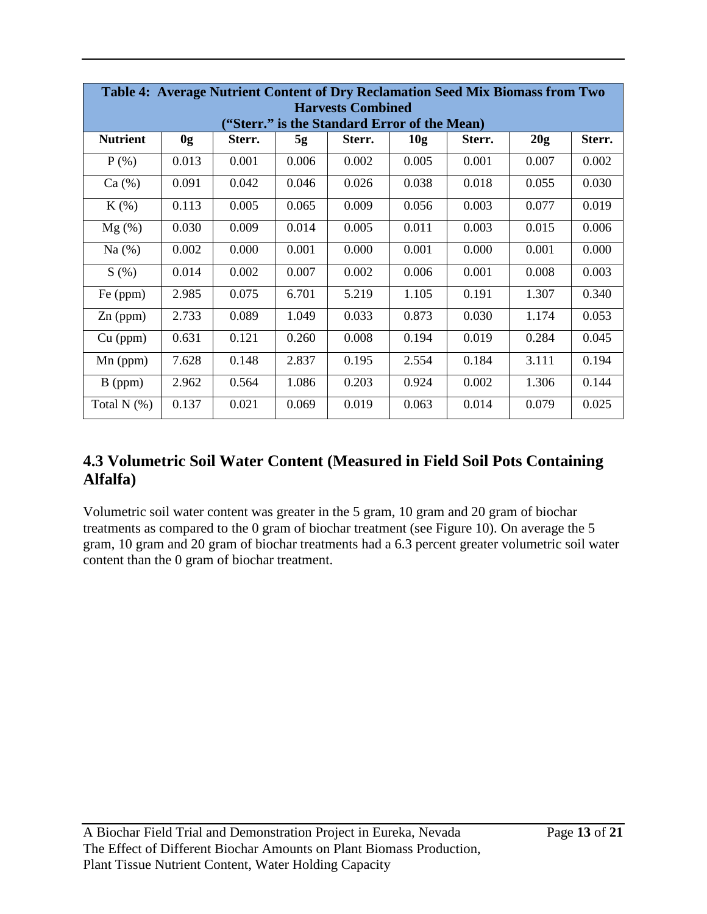| Table 4: Average Nutrient Content of Dry Reclamation Seed Mix Biomass from Two |       |        |       |        |                 |        |       |        |
|--------------------------------------------------------------------------------|-------|--------|-------|--------|-----------------|--------|-------|--------|
| <b>Harvests Combined</b><br>"Sterr." is the Standard Error of the Mean)        |       |        |       |        |                 |        |       |        |
| <b>Nutrient</b>                                                                | 0g    | Sterr. | 5g    | Sterr. | 10 <sub>g</sub> | Sterr. | 20g   | Sterr. |
| $P$ (%)                                                                        | 0.013 | 0.001  | 0.006 | 0.002  | 0.005           | 0.001  | 0.007 | 0.002  |
| Ca (%)                                                                         | 0.091 | 0.042  | 0.046 | 0.026  | 0.038           | 0.018  | 0.055 | 0.030  |
| $K(\%)$                                                                        | 0.113 | 0.005  | 0.065 | 0.009  | 0.056           | 0.003  | 0.077 | 0.019  |
| $Mg(\%)$                                                                       | 0.030 | 0.009  | 0.014 | 0.005  | 0.011           | 0.003  | 0.015 | 0.006  |
| Na $(%)$                                                                       | 0.002 | 0.000  | 0.001 | 0.000  | 0.001           | 0.000  | 0.001 | 0.000  |
| S(%)                                                                           | 0.014 | 0.002  | 0.007 | 0.002  | 0.006           | 0.001  | 0.008 | 0.003  |
| Fe (ppm)                                                                       | 2.985 | 0.075  | 6.701 | 5.219  | 1.105           | 0.191  | 1.307 | 0.340  |
| $Zn$ (ppm)                                                                     | 2.733 | 0.089  | 1.049 | 0.033  | 0.873           | 0.030  | 1.174 | 0.053  |
| $Cu$ (ppm)                                                                     | 0.631 | 0.121  | 0.260 | 0.008  | 0.194           | 0.019  | 0.284 | 0.045  |
| $Mn$ (ppm)                                                                     | 7.628 | 0.148  | 2.837 | 0.195  | 2.554           | 0.184  | 3.111 | 0.194  |
| $B$ (ppm)                                                                      | 2.962 | 0.564  | 1.086 | 0.203  | 0.924           | 0.002  | 1.306 | 0.144  |
| Total $N$ $(\%)$                                                               | 0.137 | 0.021  | 0.069 | 0.019  | 0.063           | 0.014  | 0.079 | 0.025  |

## **4.3 Volumetric Soil Water Content (Measured in Field Soil Pots Containing Alfalfa)**

Volumetric soil water content was greater in the 5 gram, 10 gram and 20 gram of biochar treatments as compared to the 0 gram of biochar treatment (see Figure 10). On average the 5 gram, 10 gram and 20 gram of biochar treatments had a 6.3 percent greater volumetric soil water content than the 0 gram of biochar treatment.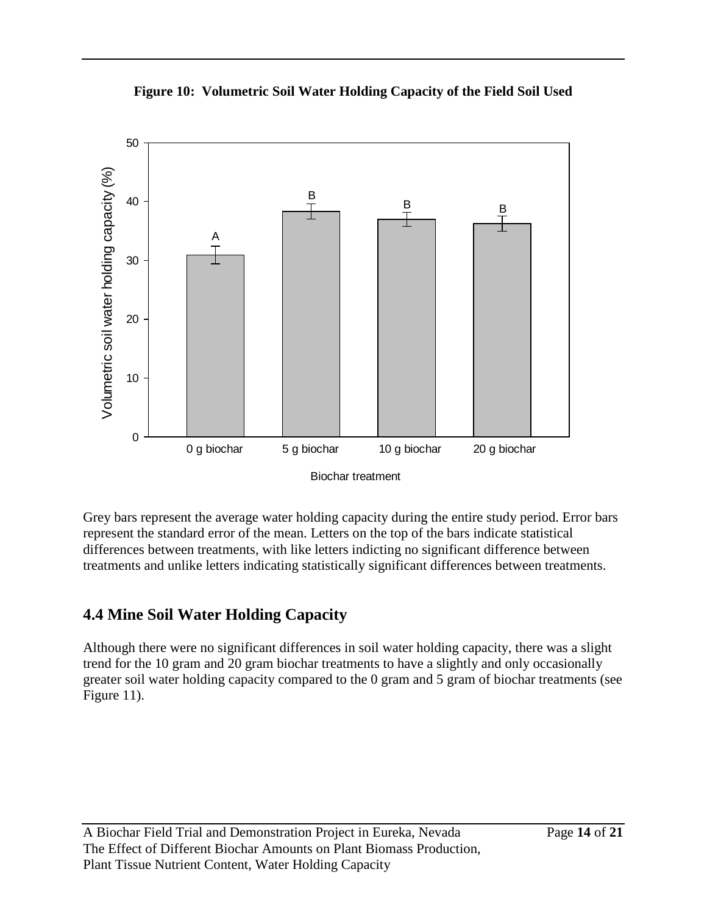



Grey bars represent the average water holding capacity during the entire study period. Error bars represent the standard error of the mean. Letters on the top of the bars indicate statistical differences between treatments, with like letters indicting no significant difference between treatments and unlike letters indicating statistically significant differences between treatments.

## **4.4 Mine Soil Water Holding Capacity**

Although there were no significant differences in soil water holding capacity, there was a slight trend for the 10 gram and 20 gram biochar treatments to have a slightly and only occasionally greater soil water holding capacity compared to the 0 gram and 5 gram of biochar treatments (see Figure 11).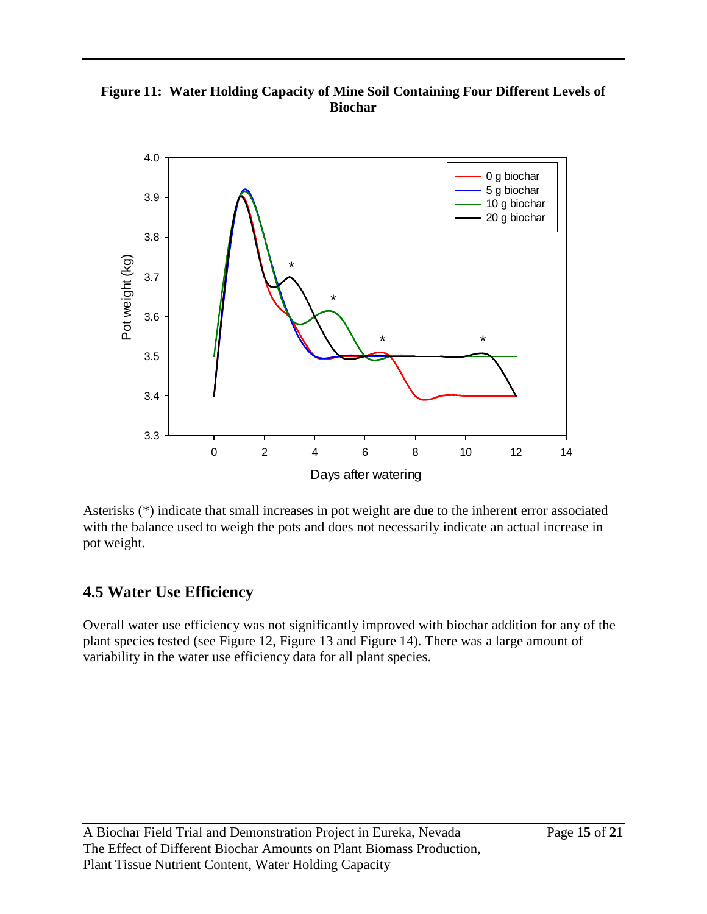**Figure 11: Water Holding Capacity of Mine Soil Containing Four Different Levels of Biochar**



Asterisks (\*) indicate that small increases in pot weight are due to the inherent error associated with the balance used to weigh the pots and does not necessarily indicate an actual increase in pot weight.

## **4.5 Water Use Efficiency**

Overall water use efficiency was not significantly improved with biochar addition for any of the plant species tested (see Figure 12, Figure 13 and Figure 14). There was a large amount of variability in the water use efficiency data for all plant species.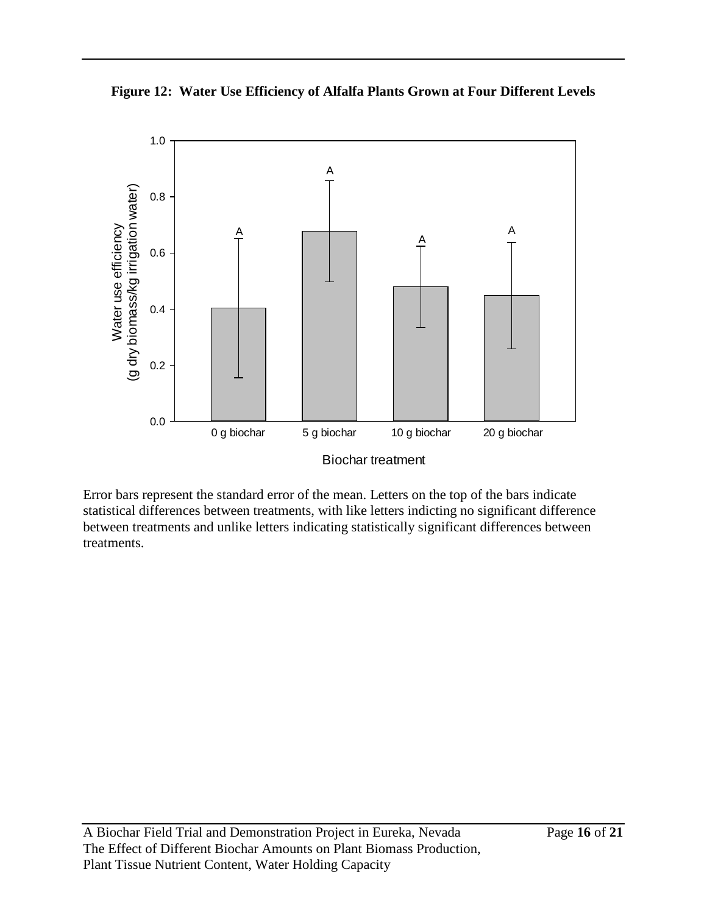



Error bars represent the standard error of the mean. Letters on the top of the bars indicate statistical differences between treatments, with like letters indicting no significant difference between treatments and unlike letters indicating statistically significant differences between treatments.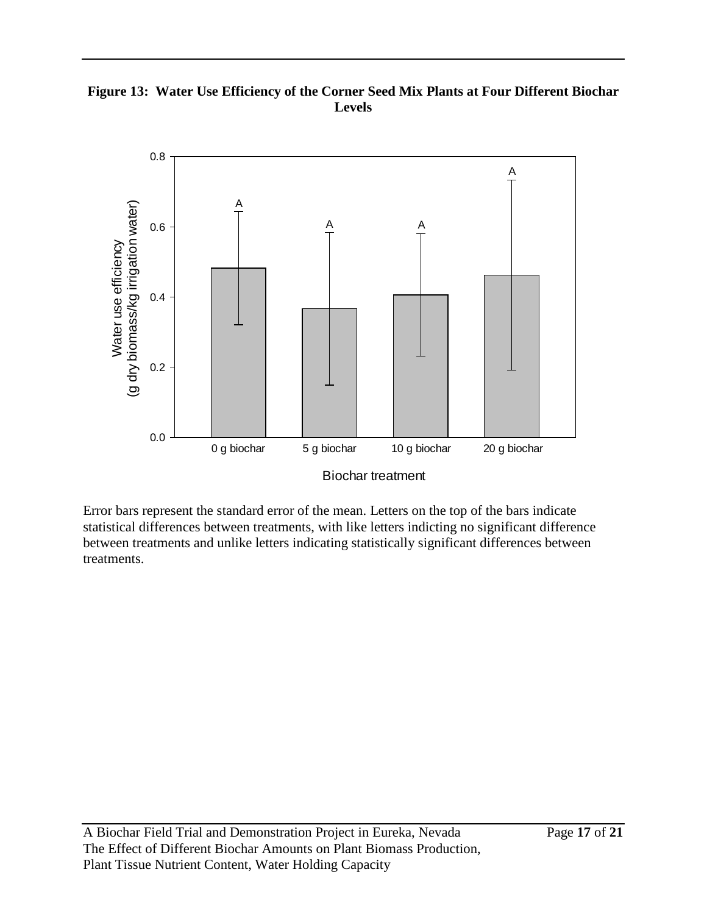#### **Figure 13: Water Use Efficiency of the Corner Seed Mix Plants at Four Different Biochar Levels**



Error bars represent the standard error of the mean. Letters on the top of the bars indicate statistical differences between treatments, with like letters indicting no significant difference between treatments and unlike letters indicating statistically significant differences between treatments.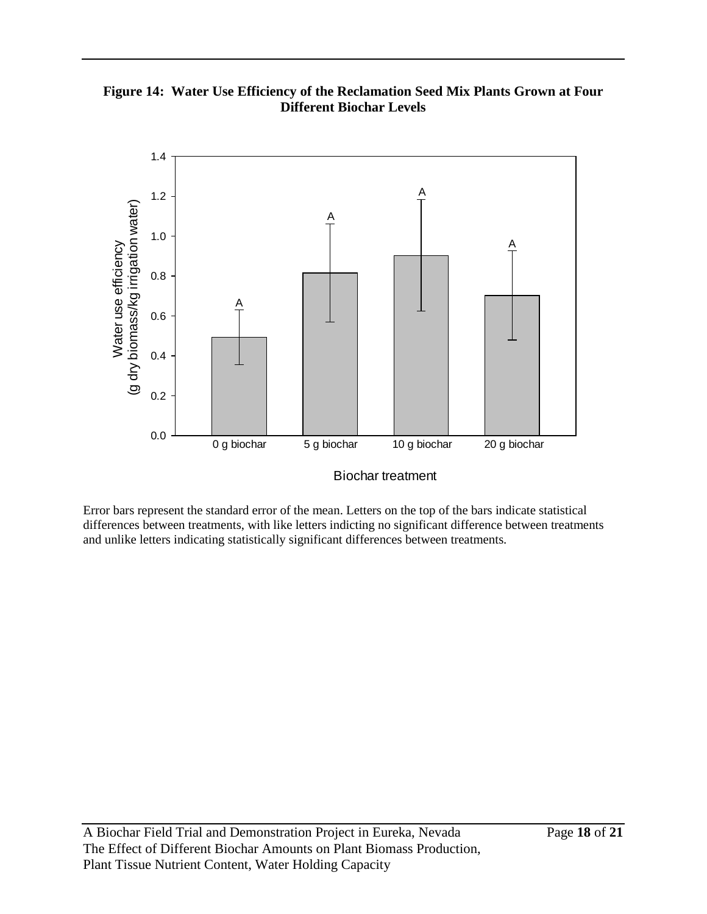**Figure 14: Water Use Efficiency of the Reclamation Seed Mix Plants Grown at Four Different Biochar Levels**



Biochar treatment

Error bars represent the standard error of the mean. Letters on the top of the bars indicate statistical differences between treatments, with like letters indicting no significant difference between treatments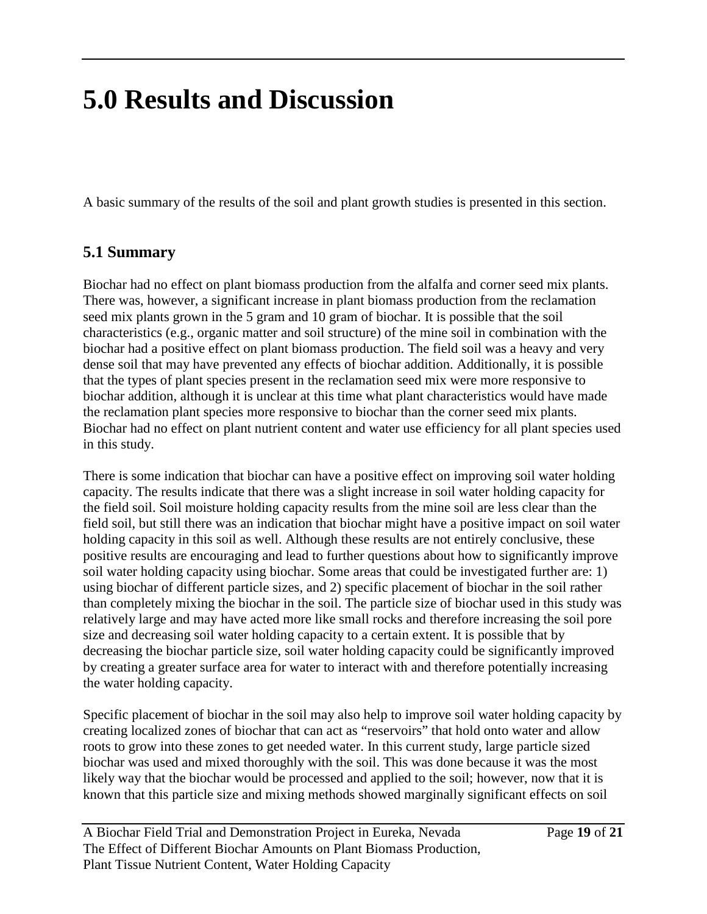# **5.0 Results and Discussion**

A basic summary of the results of the soil and plant growth studies is presented in this section.

## **5.1 Summary**

Biochar had no effect on plant biomass production from the alfalfa and corner seed mix plants. There was, however, a significant increase in plant biomass production from the reclamation seed mix plants grown in the 5 gram and 10 gram of biochar. It is possible that the soil characteristics (e.g., organic matter and soil structure) of the mine soil in combination with the biochar had a positive effect on plant biomass production. The field soil was a heavy and very dense soil that may have prevented any effects of biochar addition. Additionally, it is possible that the types of plant species present in the reclamation seed mix were more responsive to biochar addition, although it is unclear at this time what plant characteristics would have made the reclamation plant species more responsive to biochar than the corner seed mix plants. Biochar had no effect on plant nutrient content and water use efficiency for all plant species used in this study.

There is some indication that biochar can have a positive effect on improving soil water holding capacity. The results indicate that there was a slight increase in soil water holding capacity for the field soil. Soil moisture holding capacity results from the mine soil are less clear than the field soil, but still there was an indication that biochar might have a positive impact on soil water holding capacity in this soil as well. Although these results are not entirely conclusive, these positive results are encouraging and lead to further questions about how to significantly improve soil water holding capacity using biochar. Some areas that could be investigated further are: 1) using biochar of different particle sizes, and 2) specific placement of biochar in the soil rather than completely mixing the biochar in the soil. The particle size of biochar used in this study was relatively large and may have acted more like small rocks and therefore increasing the soil pore size and decreasing soil water holding capacity to a certain extent. It is possible that by decreasing the biochar particle size, soil water holding capacity could be significantly improved by creating a greater surface area for water to interact with and therefore potentially increasing the water holding capacity.

Specific placement of biochar in the soil may also help to improve soil water holding capacity by creating localized zones of biochar that can act as "reservoirs" that hold onto water and allow roots to grow into these zones to get needed water. In this current study, large particle sized biochar was used and mixed thoroughly with the soil. This was done because it was the most likely way that the biochar would be processed and applied to the soil; however, now that it is known that this particle size and mixing methods showed marginally significant effects on soil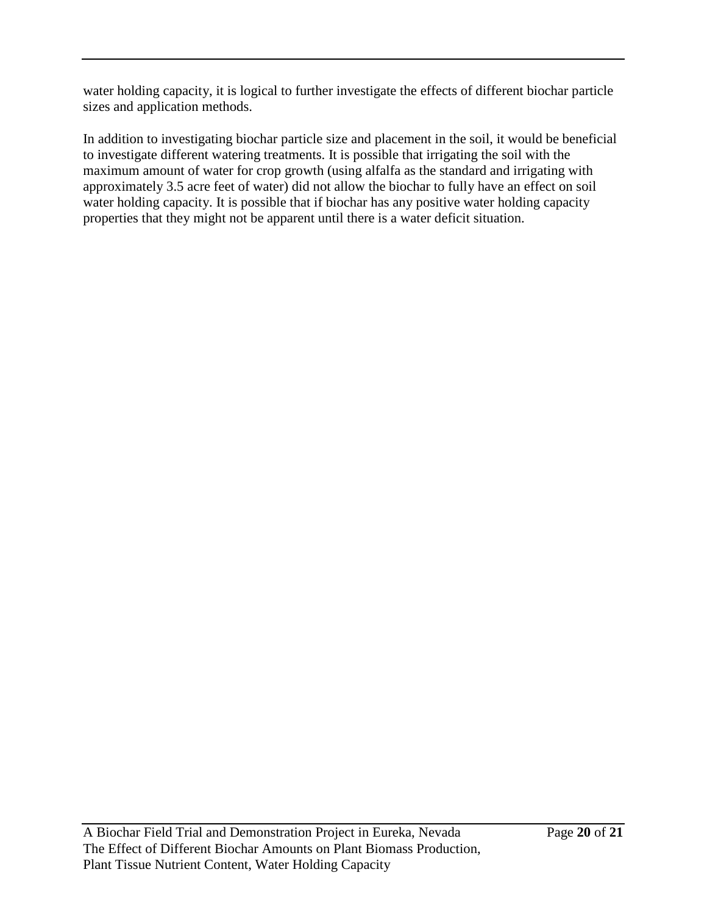water holding capacity, it is logical to further investigate the effects of different biochar particle sizes and application methods.

In addition to investigating biochar particle size and placement in the soil, it would be beneficial to investigate different watering treatments. It is possible that irrigating the soil with the maximum amount of water for crop growth (using alfalfa as the standard and irrigating with approximately 3.5 acre feet of water) did not allow the biochar to fully have an effect on soil water holding capacity. It is possible that if biochar has any positive water holding capacity properties that they might not be apparent until there is a water deficit situation.